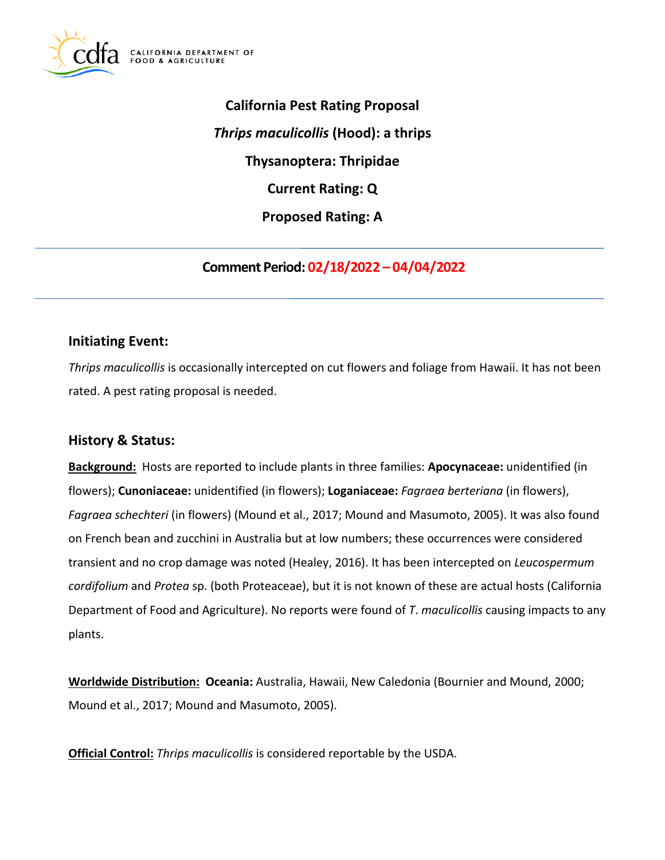

**California Pest Rating Proposal**  *Thrips maculicollis* **(Hood): a thrips Thysanoptera: Thripidae Current Rating: Q Proposed Rating: A** 

**Comment Period: 02/18/2022 – 04/04/2022** 

## **Initiating Event:**

*Thrips maculicollis* is occasionally intercepted on cut flowers and foliage from Hawaii. It has not been rated. A pest rating proposal is needed.

## **History & Status:**

**Background:** Hosts are reported to include plants in three families: **Apocynaceae:** unidentified (in flowers); **Cunoniaceae:** unidentified (in flowers); **Loganiaceae:** *Fagraea berteriana* (in flowers), *Fagraea schechteri* (in flowers) (Mound et al., 2017; Mound and Masumoto, 2005). It was also found on French bean and zucchini in Australia but at low numbers; these occurrences were considered transient and no crop damage was noted (Healey, 2016). It has been intercepted on *Leucospermum cordifolium* and *Protea* sp. (both Proteaceae), but it is not known of these are actual hosts (California Department of Food and Agriculture). No reports were found of *T*. *maculicollis* causing impacts to any plants.

**Worldwide Distribution: Oceania:** Australia, Hawaii, New Caledonia (Bournier and Mound, 2000; Mound et al., 2017; Mound and Masumoto, 2005).

**Official Control:** *Thrips maculicollis* is considered reportable by the USDA.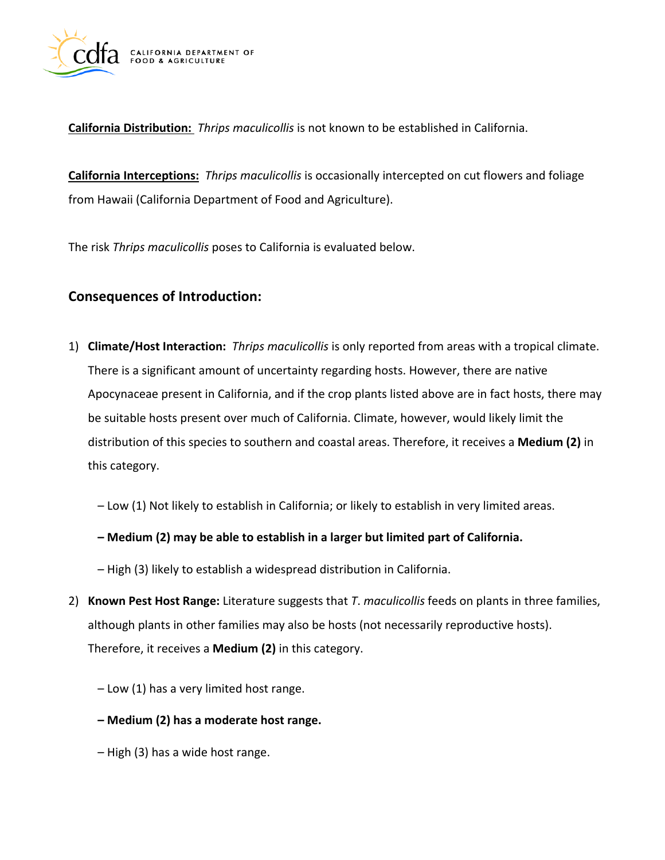

**California Distribution:** *Thrips maculicollis* is not known to be established in California.

**California Interceptions:** *Thrips maculicollis* is occasionally intercepted on cut flowers and foliage from Hawaii (California Department of Food and Agriculture).

The risk *Thrips maculicollis* poses to California is evaluated below.

# **Consequences of Introduction:**

- 1) **Climate/Host Interaction:** *Thrips maculicollis* is only reported from areas with a tropical climate. There is a significant amount of uncertainty regarding hosts. However, there are native Apocynaceae present in California, and if the crop plants listed above are in fact hosts, there may be suitable hosts present over much of California. Climate, however, would likely limit the distribution of this species to southern and coastal areas. Therefore, it receives a **Medium (2)** in this category.
	- Low (1) Not likely to establish in California; or likely to establish in very limited areas.
	- **Medium (2) may be able to establish in a larger but limited part of California.**
	- High (3) likely to establish a widespread distribution in California.
- 2) **Known Pest Host Range:** Literature suggests that *T*. *maculicollis* feeds on plants in three families, although plants in other families may also be hosts (not necessarily reproductive hosts). Therefore, it receives a **Medium (2)** in this category.
	- Low (1) has a very limited host range.
	- **Medium (2) has a moderate host range.**
	- High (3) has a wide host range.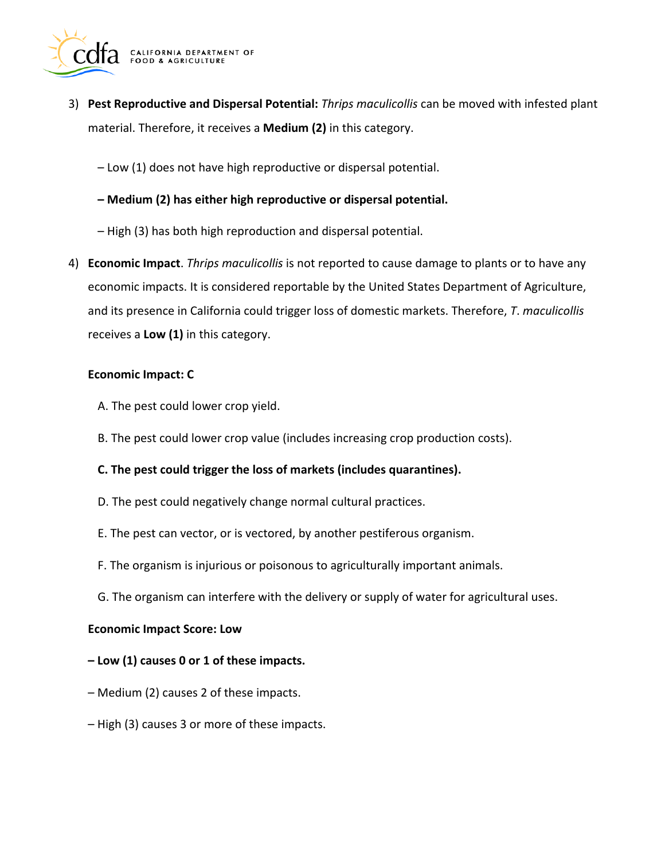

- 3) **Pest Reproductive and Dispersal Potential:** *Thrips maculicollis* can be moved with infested plant material. Therefore, it receives a **Medium (2)** in this category.
	- Low (1) does not have high reproductive or dispersal potential.
	- **Medium (2) has either high reproductive or dispersal potential.**
	- High (3) has both high reproduction and dispersal potential.
- 4) **Economic Impact**. *Thrips maculicollis* is not reported to cause damage to plants or to have any economic impacts. It is considered reportable by the United States Department of Agriculture, and its presence in California could trigger loss of domestic markets. Therefore, *T*. *maculicollis*  receives a **Low (1)** in this category.

#### **Economic Impact: C**

- A. The pest could lower crop yield.
- B. The pest could lower crop value (includes increasing crop production costs).
- **C. The pest could trigger the loss of markets (includes quarantines).**
- D. The pest could negatively change normal cultural practices.
- E. The pest can vector, or is vectored, by another pestiferous organism.
- F. The organism is injurious or poisonous to agriculturally important animals.
- G. The organism can interfere with the delivery or supply of water for agricultural uses.

#### **Economic Impact Score: Low**

- **Low (1) causes 0 or 1 of these impacts.**
- Medium (2) causes 2 of these impacts.
- High (3) causes 3 or more of these impacts.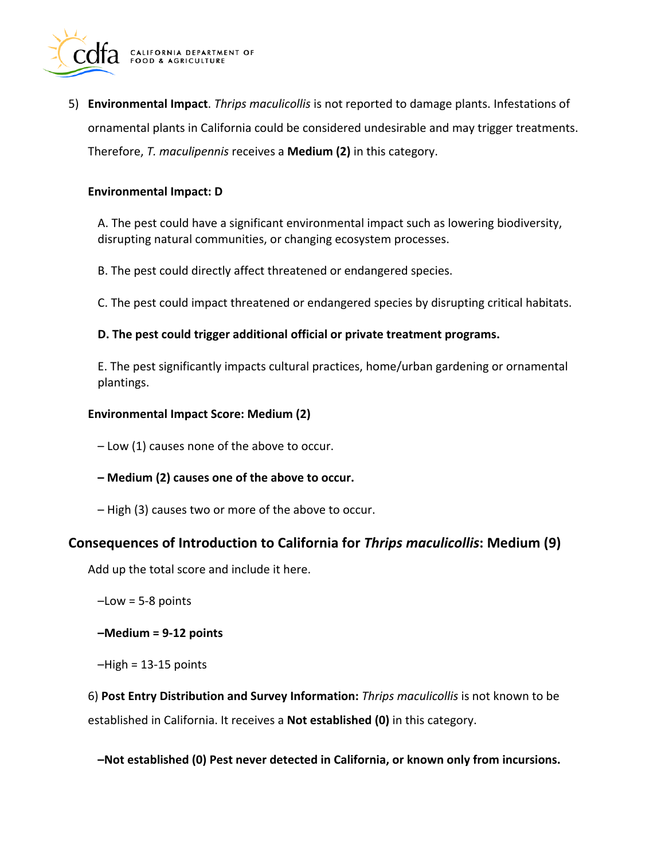

5) **Environmental Impact**. *Thrips maculicollis* is not reported to damage plants. Infestations of ornamental plants in California could be considered undesirable and may trigger treatments. Therefore, *T. maculipennis* receives a **Medium (2)** in this category.

#### **Environmental Impact: D**

A. The pest could have a significant environmental impact such as lowering biodiversity, disrupting natural communities, or changing ecosystem processes.

B. The pest could directly affect threatened or endangered species.

C. The pest could impact threatened or endangered species by disrupting critical habitats.

#### **D. The pest could trigger additional official or private treatment programs.**

E. The pest significantly impacts cultural practices, home/urban gardening or ornamental plantings.

#### **Environmental Impact Score: Medium (2)**

– Low (1) causes none of the above to occur.

- **Medium (2) causes one of the above to occur.**
- High (3) causes two or more of the above to occur.

## **Consequences of Introduction to California for** *Thrips maculicollis***: Medium (9)**

Add up the total score and include it here.

- –Low = 5-8 points
- **–Medium = 9-12 points**
- $-High = 13-15$  points

6) **Post Entry Distribution and Survey Information:** *Thrips maculicollis* is not known to be established in California. It receives a **Not established (0)** in this category.

**–Not established (0) Pest never detected in California, or known only from incursions.**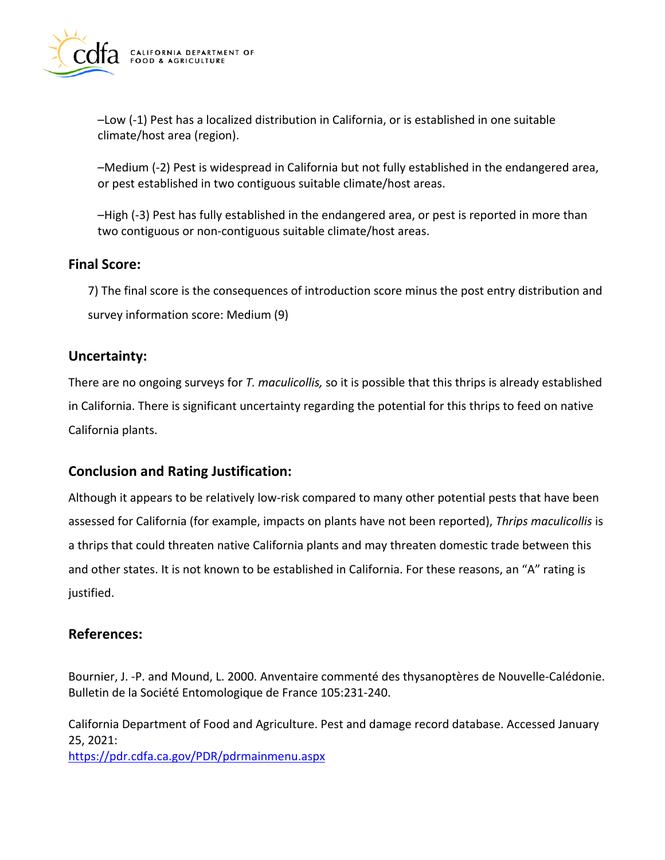

–Low (-1) Pest has a localized distribution in California, or is established in one suitable climate/host area (region).

–Medium (-2) Pest is widespread in California but not fully established in the endangered area, or pest established in two contiguous suitable climate/host areas.

–High (-3) Pest has fully established in the endangered area, or pest is reported in more than two contiguous or non-contiguous suitable climate/host areas.

## **Final Score:**

7) The final score is the consequences of introduction score minus the post entry distribution and survey information score: Medium (9)

### **Uncertainty:**

There are no ongoing surveys for *T. maculicollis,* so it is possible that this thrips is already established in California. There is significant uncertainty regarding the potential for this thrips to feed on native California plants.

## **Conclusion and Rating Justification:**

Although it appears to be relatively low-risk compared to many other potential pests that have been assessed for California (for example, impacts on plants have not been reported), *Thrips maculicollis* is a thrips that could threaten native California plants and may threaten domestic trade between this and other states. It is not known to be established in California. For these reasons, an "A" rating is justified.

## **References:**

Bournier, J. -P. and Mound, L. 2000. Anventaire commenté des thysanoptères de Nouvelle-Calédonie. Bulletin de la Société Entomologique de France 105:231-240.

California Department of Food and Agriculture. Pest and damage record database. Accessed January 25, 2021:

<https://pdr.cdfa.ca.gov/PDR/pdrmainmenu.aspx>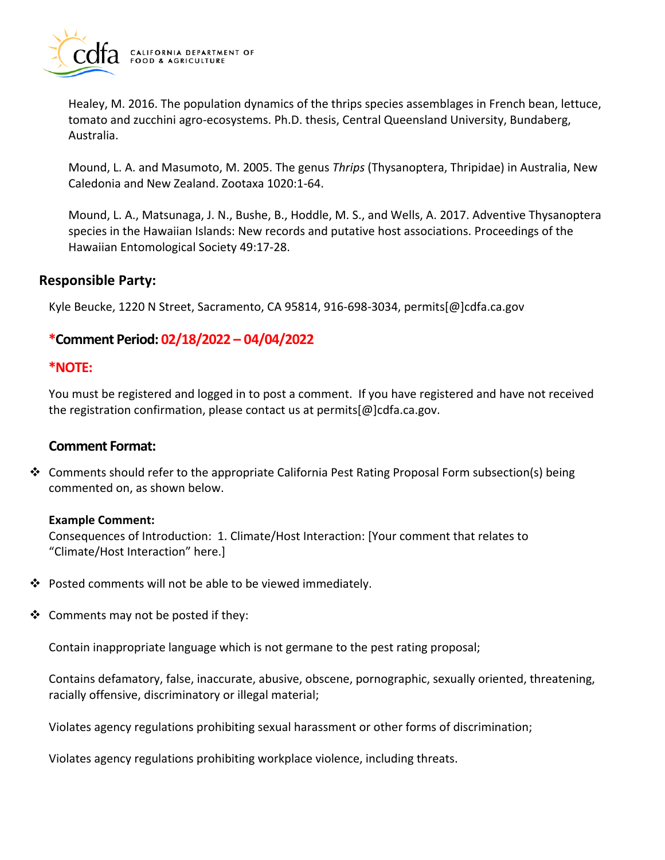

Healey, M. 2016. The population dynamics of the thrips species assemblages in French bean, lettuce, tomato and zucchini agro-ecosystems. Ph.D. thesis, Central Queensland University, Bundaberg, Australia.

Mound, L. A. and Masumoto, M. 2005. The genus *Thrips* (Thysanoptera, Thripidae) in Australia, New Caledonia and New Zealand. Zootaxa 1020:1-64.

Mound, L. A., Matsunaga, J. N., Bushe, B., Hoddle, M. S., and Wells, A. 2017. Adventive Thysanoptera species in the Hawaiian Islands: New records and putative host associations. Proceedings of the Hawaiian Entomological Society 49:17-28.

### **Responsible Party:**

Kyle Beucke, 1220 N Street, Sacramento, CA 95814, 916-698-3034, [permits\[@\]cdfa.ca.gov](https://permits[@]cdfa.ca.gov) 

# **\*Comment Period: 02/18/2022 – 04/04/2022**

#### **\*NOTE:**

You must be registered and logged in to post a comment. If you have registered and have not received the registration confirmation, please contact us at [permits\[@\]cdfa.ca.gov](https://permits[@]cdfa.ca.gov).

#### **Comment Format:**

 $\clubsuit$  Comments should refer to the appropriate California Pest Rating Proposal Form subsection(s) being commented on, as shown below.

#### **Example Comment:**

Consequences of Introduction: 1. Climate/Host Interaction: [Your comment that relates to "Climate/Host Interaction" here.]

- $\cdot$  Posted comments will not be able to be viewed immediately.
- $\triangleleft$  Comments may not be posted if they:

Contain inappropriate language which is not germane to the pest rating proposal;

Contains defamatory, false, inaccurate, abusive, obscene, pornographic, sexually oriented, threatening, racially offensive, discriminatory or illegal material;

Violates agency regulations prohibiting sexual harassment or other forms of discrimination;

Violates agency regulations prohibiting workplace violence, including threats.